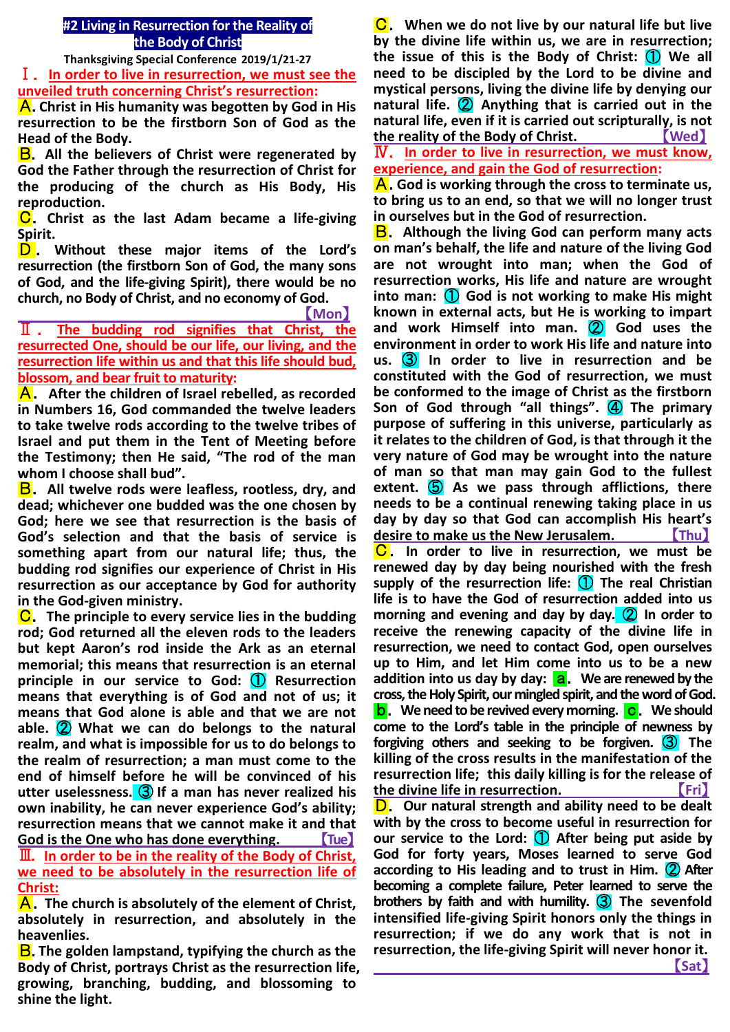## **#2 Living in Resurrection for the Reality of the Body of Christ**

**Thanksgiving Special Conference 2019/1/21-27**

Ⅰ.**In order to live in resurrection, we must see the unveiled truth concerning Christ's resurrection:**

A.**Christ in His humanity was begotten by God in His resurrection to be the firstborn Son of God as the Head of the Body.**

B.**All the believers of Christ were regenerated by God the Father through the resurrection of Christ for the producing of the church as His Body, His reproduction.**

C.**Christ as the last Adam became a life-giving Spirit.**

D . **Without these major items of the Lord's resurrection (the firstborn Son of God, the many sons of God, and the life-giving Spirit), there would be no church, no Body of Christ, and no economy of God.**

 【**Mon**】 Ⅱ . **The budding rod signifies that Christ, the resurrected One, should be our life, our living, and the resurrection life within us and that this life should bud, blossom, and bear fruit to maturity:**

A.**After the children of Israel rebelled, as recorded in Numbers 16, God commanded the twelve leaders to take twelve rods according to the twelve tribes of Israel and put them in the Tent of Meeting before the Testimony; then He said, "The rod of the man whom I choose shall bud".**

B.**All twelve rods were leafless, rootless, dry, and dead; whichever one budded was the one chosen by God; here we see that resurrection is the basis of God's selection and that the basis of service is something apart from our natural life; thus, the budding rod signifies our experience of Christ in His resurrection as our acceptance by God for authority in the God-given ministry.**

C.**The principle to every service lies in the budding rod; God returned all the eleven rods to the leaders but kept Aaron's rod inside the Ark as an eternal memorial; this means that resurrection is an eternal principle in our service to God:** ① **Resurrection means that everything is of God and not of us; it means that God alone is able and that we are not able.** ② **What we can do belongs to the natural realm, and what is impossible for us to do belongs to the realm of resurrection; a man must come to the end of himself before he will be convinced of his utter uselessness.** ③ **If a man has never realized his own inability, he can never experience God's ability; resurrection means that we cannot make it and that God is the One who has done everything.** 【**Tue**】 Ⅲ.**In order to be in the reality of the Body of Christ, we need to be absolutely in the resurrection life of Christ:**

A.**The church is absolutely of the element of Christ, absolutely in resurrection, and absolutely in the heavenlies.**

B.**The golden lampstand, typifying the church as the Body of Christ, portrays Christ as the resurrection life, growing, branching, budding, and blossoming to shine the light.**

C.**When we do not live by our natural life but live by the divine life within us, we are in resurrection; the issue of this is the Body of Christ:** ① **We all need to be discipled by the Lord to be divine and mystical persons, living the divine life by denying our natural life.** ② **Anything that is carried out in the natural life, even if it is carried out scripturally, is not the reality of the Body of Christ.** 【**Wed**】

Ⅳ.**In order to live in resurrection, we must know, experience, and gain the God of resurrection:**

A.**God is working through the cross to terminate us, to bring us to an end, so that we will no longer trust in ourselves but in the God of resurrection.**

B.**Although the living God can perform many acts on man's behalf, the life and nature of the living God are not wrought into man; when the God of resurrection works, His life and nature are wrought into man:** ① **God is not working to make His might known in external acts, but He is working to impart and work Himself into man.** ② **God uses the environment in order to work His life and nature into us.** ③ **In order to live in resurrection and be constituted with the God of resurrection, we must be conformed to the image of Christ as the firstborn Son of God through "all things".** ④ **The primary purpose of suffering in this universe, particularly as it relates to the children of God, is that through it the very nature of God may be wrought into the nature of man so that man may gain God to the fullest extent.** ⑤ **As we pass through afflictions, there needs to be a continual renewing taking place in us day by day so that God can accomplish His heart's desire to make us the New Jerusalem.** 【**Thu**】 C.**In order to live in resurrection, we must be renewed day by day being nourished with the fresh supply of the resurrection life:** ① **The real Christian life is to have the God of resurrection added into us morning and evening and day by day.** ② **In order to receive the renewing capacity of the divine life in resurrection, we need to contact God, open ourselves up to Him, and let Him come into us to be a new**  addition into us day by day: **a.** We are renewed by the **cross, the Holy Spirit, our mingled spirit, and the word of God. b**. We need to be revived every morning. **c**. We should **come to the Lord's table in the principle of newness by forgiving others and seeking to be forgiven.** ③ **The killing of the cross results in the manifestation of the resurrection life; this daily killing is for the release of the divine life in resurrection.** 【**Fri**】

D.**Our natural strength and ability need to be dealt with by the cross to become useful in resurrection for our service to the Lord:** ① **After being put aside by God for forty years, Moses learned to serve God according to His leading and to trust in Him.** ② **After becoming a complete failure, Peter learned to serve the brothers by faith and with humility.** ③ **The sevenfold intensified life-giving Spirit honors only the things in resurrection; if we do any work that is not in resurrection, the life-giving Spirit will never honor it.** 【**Sat**】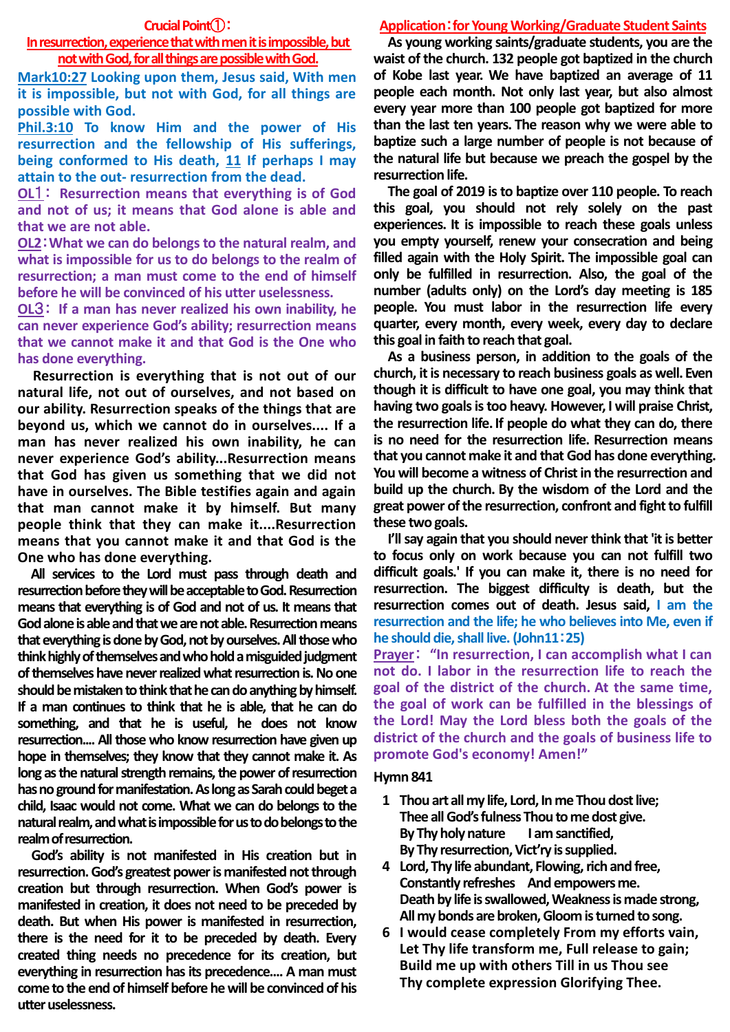# **In resurrection, experience that with men it is impossible, but not with God, for all things are possible with God.**

**Mark10:27 Looking upon them, Jesus said, With men it is impossible, but not with God, for all things are possible with God.**

**Phil.3:10 To know Him and the power of His resurrection and the fellowship of His sufferings, being conformed to His death, 11 If perhaps I may attain to the out- resurrection from the dead.**

**OL**1: **Resurrection means that everything is of God and not of us; it means that God alone is able and that we are not able.**

**OL2**:**What we can do belongs to the natural realm, and what is impossible for us to do belongs to the realm of resurrection; a man must come to the end of himself before he will be convinced of his utter uselessness.**

**OL**3: **If a man has never realized his own inability, he can never experience God's ability; resurrection means that we cannot make it and that God is the One who has done everything.**

**Resurrection is everything that is not out of our natural life, not out of ourselves, and not based on our ability. Resurrection speaks of the things that are beyond us, which we cannot do in ourselves.... If a man has never realized his own inability, he can never experience God's ability...Resurrection means that God has given us something that we did not have in ourselves. The Bible testifies again and again that man cannot make it by himself. But many people think that they can make it....Resurrection means that you cannot make it and that God is the One who has done everything.** 

**All services to the Lord must pass through death and resurrection before they will be acceptable to God. Resurrection means that everything is of God and not of us. It means that God alone is able and that we are not able. Resurrection means that everything is done by God, not by ourselves. All those who think highly of themselves and who hold a misguided judgment of themselves have never realized what resurrection is. No one should be mistaken to think that he can do anything by himself. If a man continues to think that he is able, that he can do something, and that he is useful, he does not know resurrection.... All those who know resurrection have given up hope in themselves; they know that they cannot make it. As long as the natural strength remains, the power of resurrection has no ground for manifestation. As long as Sarah could beget a child, Isaac would not come. What we can do belongs to the natural realm, and what is impossible for us to do belongs to the realm of resurrection.**

**God's ability is not manifested in His creation but in resurrection. God's greatest power is manifested not through creation but through resurrection. When God's power is manifested in creation, it does not need to be preceded by death. But when His power is manifested in resurrection, there is the need for it to be preceded by death. Every created thing needs no precedence for its creation, but everything in resurrection has its precedence.... A man must come to the end of himself before he will be convinced of his utter uselessness.**

## **Application**:**for Young Working/Graduate Student Saints**

**As young working saints/graduate students, you are the waist of the church. 132 people got baptized in the church of Kobe last year. We have baptized an average of 11 people each month. Not only last year, but also almost every year more than 100 people got baptized for more than the last ten years. The reason why we were able to baptize such a large number of people is not because of the natural life but because we preach the gospel by the resurrection life.**

**The goal of 2019 is to baptize over 110 people. To reach this goal, you should not rely solely on the past experiences. It is impossible to reach these goals unless you empty yourself, renew your consecration and being filled again with the Holy Spirit. The impossible goal can only be fulfilled in resurrection. Also, the goal of the number (adults only) on the Lord's day meeting is 185 people. You must labor in the resurrection life every quarter, every month, every week, every day to declare this goal in faith to reach that goal.**

**As a business person, in addition to the goals of the church, it is necessary to reach business goals as well. Even though it is difficult to have one goal, you may think that having two goals is too heavy. However, I will praise Christ, the resurrection life. If people do what they can do, there is no need for the resurrection life. Resurrection means that you cannot make it and that God has done everything. You will become a witness of Christ in the resurrection and build up the church. By the wisdom of the Lord and the great power of the resurrection, confront and fight to fulfill these two goals.**

**I'll say again that you should never think that 'it is better to focus only on work because you can not fulfill two difficult goals.' If you can make it, there is no need for resurrection. The biggest difficulty is death, but the resurrection comes out of death. Jesus said, I am the resurrection and the life; he who believes into Me, even if he should die, shall live. (John11**:**25)**

**Prayer**: **"In resurrection, I can accomplish what I can not do. I labor in the resurrection life to reach the goal of the district of the church. At the same time, the goal of work can be fulfilled in the blessings of the Lord! May the Lord bless both the goals of the district of the church and the goals of business life to promote God's economy! Amen!"**

#### **Hymn 841**

- **1 Thou art all my life, Lord, In me Thou dost live; Thee all God's fulness Thou to me dost give. By Thy holy nature I am sanctified, By Thy resurrection, Vict'ry is supplied.**
- **4 Lord, Thy life abundant, Flowing, rich and free, Constantly refreshes And empowers me. Death by life is swallowed, Weakness is made strong, All my bonds are broken, Gloom is turned to song.**
- **6 I would cease completely From my efforts vain, Let Thy life transform me, Full release to gain; Build me up with others Till in us Thou see Thy complete expression Glorifying Thee.**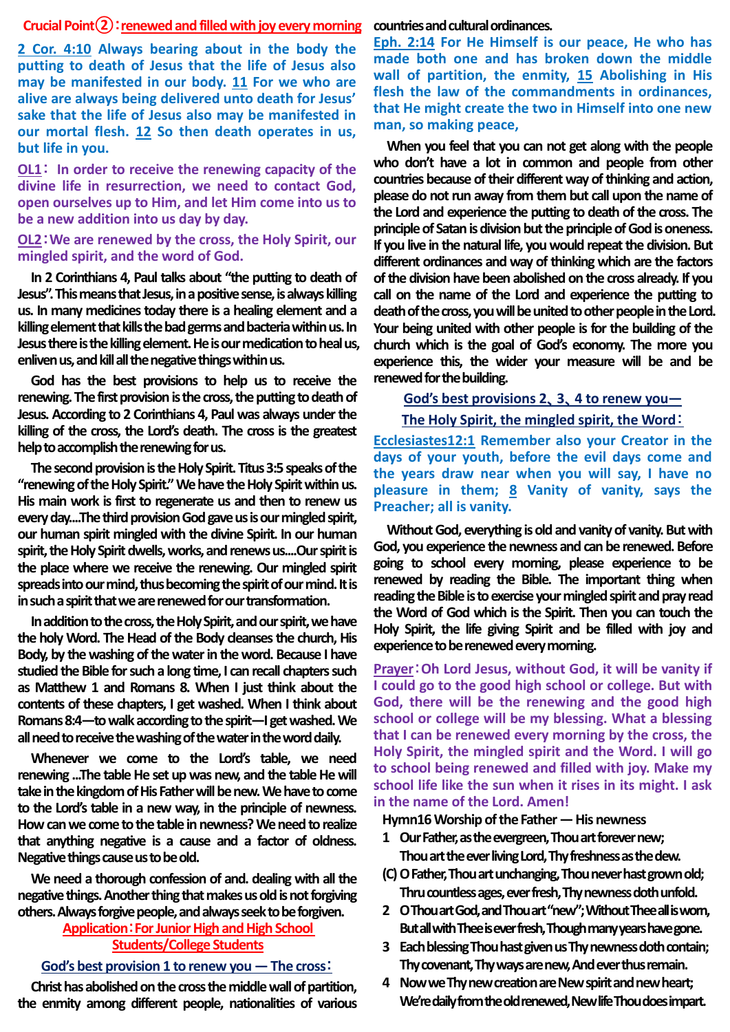#### **Crucial Point②**:**renewed and filled with joy every morning**

**2 Cor. 4:10 Always bearing about in the body the putting to death of Jesus that the life of Jesus also may be manifested in our body. 11 For we who are alive are always being delivered unto death for Jesus' sake that the life of Jesus also may be manifested in our mortal flesh. 12 So then death operates in us, but life in you.**

**OL1**: **In order to receive the renewing capacity of the divine life in resurrection, we need to contact God, open ourselves up to Him, and let Him come into us to be a new addition into us day by day.** 

### **OL2**:**We are renewed by the cross, the Holy Spirit, our mingled spirit, and the word of God.**

**In 2 Corinthians 4, Paul talks about "the putting to death of Jesus". This means that Jesus, in a positive sense, is always killing us. In many medicines today there is a healing element and a killing element that kills the bad germs and bacteria within us. In Jesus there is the killing element. He is our medication to heal us, enliven us, and kill all the negative things within us.**

**God has the best provisions to help us to receive the renewing. The first provision is the cross, the putting to death of Jesus. According to 2 Corinthians 4, Paul was always under the killing of the cross, the Lord's death. The cross is the greatest help to accomplish the renewing for us.** 

**The second provision is the Holy Spirit. Titus 3:5 speaks of the "renewing of the Holy Spirit." We have the Holy Spirit within us. His main work is first to regenerate us and then to renew us every day....The third provision God gave us is our mingled spirit, our human spirit mingled with the divine Spirit. In our human spirit, the Holy Spirit dwells, works, and renews us....Our spirit is the place where we receive the renewing. Our mingled spirit spreads into our mind, thus becoming the spirit of our mind. It is in such a spirit that we are renewed for our transformation.**

**In addition to the cross, the Holy Spirit, and our spirit, we have the holy Word. The Head of the Body cleanses the church, His Body, by the washing of the water in the word. Because I have studied the Bible for such a long time, I can recall chapters such as Matthew 1 and Romans 8. When I just think about the contents of these chapters, I get washed. When I think about Romans 8:4—to walk according to thespirit—I get washed. We all need to receive the washing of the water in the word daily.**

**Whenever we come to the Lord's table, we need renewing ...The table He set up was new, and the table He will take in the kingdom of His Father will be new. We have to come to the Lord's table in a new way, in the principle of newness. How can we come to the table in newness? We need to realize that anything negative is a cause and a factor of oldness. Negative things cause us to be old.** 

**We need a thorough confession of and. dealing with all the negative things. Another thing that makes us old is not forgiving others. Always forgive people, and always seek to be forgiven.**

# **Application**:**For Junior High and High School Students/College Students**

# **God's best provision 1 to renew you ― The cross**:

**Christ has abolished on the cross the middle wall of partition, the enmity among different people, nationalities of various** 

#### **countries and cultural ordinances.**

**Eph. 2:14 For He Himself is our peace, He who has made both one and has broken down the middle wall of partition, the enmity, 15 Abolishing in His flesh the law of the commandments in ordinances, that He might create the two in Himself into one new man, so making peace,**

**When you feel that you can not get along with the people**  who don't have a lot in common and people from other **countries because of their different way of thinking and action, please do not run away from them but call upon the name of the Lord and experience the putting to death of the cross. The principle of Satan is division but the principle of God is oneness. If you live in the natural life, you would repeat the division. But different ordinances and way of thinking which are the factors of the division have been abolished on the cross already. If you call on the name of the Lord and experience the putting to death of the cross, you will be united to other people in the Lord. Your being united with other people is for the building of the church which is the goal of God's economy. The more you experience this, the wider your measure will be and be renewed for the building.**

**God's best provisions 2**、**3**、**4 to renew you―**

# **The Holy Spirit, the mingled spirit, the Word**:

**Ecclesiastes12:1 Remember also your Creator in the days of your youth, before the evil days come and the years draw near when you will say, I have no pleasure in them; 8 Vanity of vanity, says the Preacher; all is vanity.**

**Without God, everything is old and vanity of vanity. But with God, you experience the newness and can be renewed. Before going to school every morning, please experience to be renewed by reading the Bible. The important thing when reading the Bible is to exercise your mingled spirit and pray read the Word of God which is the Spirit. Then you can touch the Holy Spirit, the life giving Spirit and be filled with joy and experience to be renewed every morning.**

**Prayer**:**Oh Lord Jesus, without God, it will be vanity if I could go to the good high school or college. But with God, there will be the renewing and the good high school or college will be my blessing. What a blessing that I can be renewed every morning by the cross, the Holy Spirit, the mingled spirit and the Word. I will go to school being renewed and filled with joy. Make my school life like the sun when it rises in its might. I ask in the name of the Lord. Amen!**

**Hymn16 Worship of the Father ― His newness**

- **1 Our Father, as the evergreen, Thou art forever new; Thou art the ever livingLord, Thy freshness as the dew.**
- **(C) O Father, Thou art unchanging, Thou never hast grown old; Thru countless ages, ever fresh, Thy newness doth unfold.**
- **2 O Thou art God, and Thou art "new"; Without Thee all is worn, But all with Thee is ever fresh, Though many years have gone.**
- **3 Each blessing Thou hast given us Thy newness doth contain; Thy covenant, Thy ways are new, And ever thus remain.**
- **4 Now we Thy new creation are New spirit and new heart; We're daily from the old renewed, New life Thou does impart.**